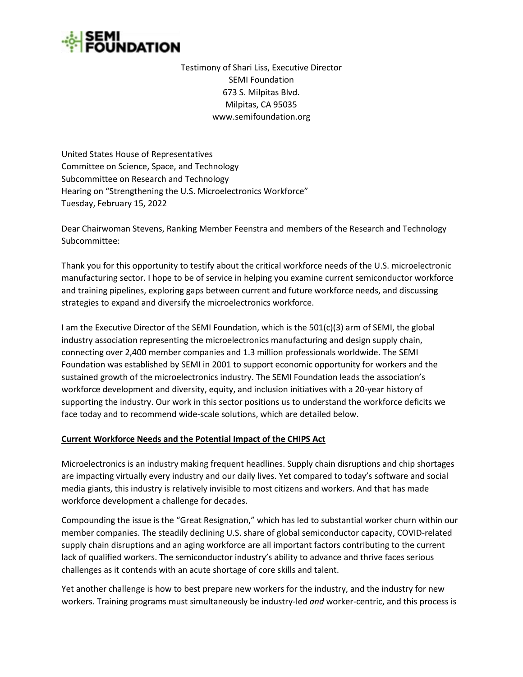

Testimony of Shari Liss, Executive Director SEMI Foundation 673 S. Milpitas Blvd. Milpitas, CA 95035 www.semifoundation.org

United States House of Representatives Committee on Science, Space, and Technology Subcommittee on Research and Technology Hearing on "Strengthening the U.S. Microelectronics Workforce" Tuesday, February 15, 2022

Dear Chairwoman Stevens, Ranking Member Feenstra and members of the Research and Technology Subcommittee:

Thank you for this opportunity to testify about the critical workforce needs of the U.S. microelectronic manufacturing sector. I hope to be of service in helping you examine current semiconductor workforce and training pipelines, exploring gaps between current and future workforce needs, and discussing strategies to expand and diversify the microelectronics workforce.

I am the Executive Director of the SEMI Foundation, which is the 501(c)(3) arm of SEMI, the global industry association representing the microelectronics manufacturing and design supply chain, connecting over 2,400 member companies and 1.3 million professionals worldwide. The SEMI Foundation was established by SEMI in 2001 to support economic opportunity for workers and the sustained growth of the microelectronics industry. The SEMI Foundation leads the association's workforce development and diversity, equity, and inclusion initiatives with a 20-year history of supporting the industry. Our work in this sector positions us to understand the workforce deficits we face today and to recommend wide-scale solutions, which are detailed below.

# **Current Workforce Needs and the Potential Impact of the CHIPS Act**

Microelectronics is an industry making frequent headlines. Supply chain disruptions and chip shortages are impacting virtually every industry and our daily lives. Yet compared to today's software and social media giants, this industry is relatively invisible to most citizens and workers. And that has made workforce development a challenge for decades.

Compounding the issue is the "Great Resignation," which has led to substantial worker churn within our member companies. The steadily declining U.S. share of global semiconductor capacity, COVID-related supply chain disruptions and an aging workforce are all important factors contributing to the current lack of qualified workers. The semiconductor industry's ability to advance and thrive faces serious challenges as it contends with an acute shortage of core skills and talent.

Yet another challenge is how to best prepare new workers for the industry, and the industry for new workers. Training programs must simultaneously be industry-led *and* worker-centric, and this process is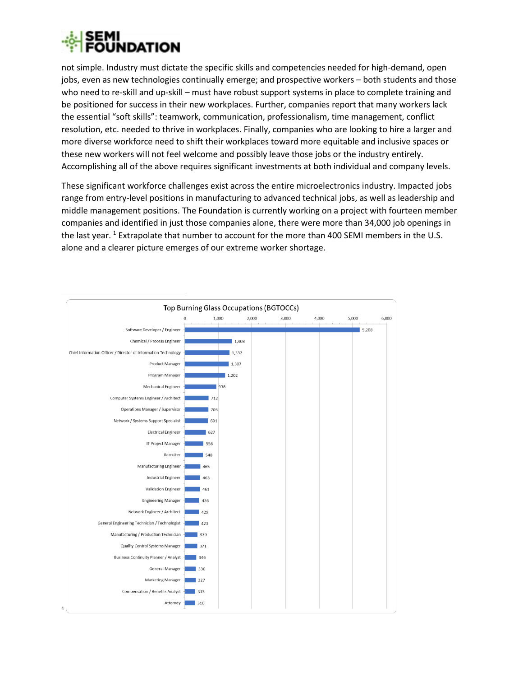

not simple. Industry must dictate the specific skills and competencies needed for high-demand, open jobs, even as new technologies continually emerge; and prospective workers – both students and those who need to re-skill and up-skill – must have robust support systems in place to complete training and be positioned for success in their new workplaces. Further, companies report that many workers lack the essential "soft skills": teamwork, communication, professionalism, time management, conflict resolution, etc. needed to thrive in workplaces. Finally, companies who are looking to hire a larger and more diverse workforce need to shift their workplaces toward more equitable and inclusive spaces or these new workers will not feel welcome and possibly leave those jobs or the industry entirely. Accomplishing all of the above requires significant investments at both individual and company levels.

These significant workforce challenges exist across the entire microelectronics industry. Impacted jobs range from entry-level positions in manufacturing to advanced technical jobs, as well as leadership and middle management positions. The Foundation is currently working on a project with fourteen member companies and identified in just those companies alone, there were more than 34,000 job openings in the last year.<sup>1</sup> Extrapolate that number to account for the more than 400 SEMI members in the U.S. alone and a clearer picture emerges of our extreme worker shortage.

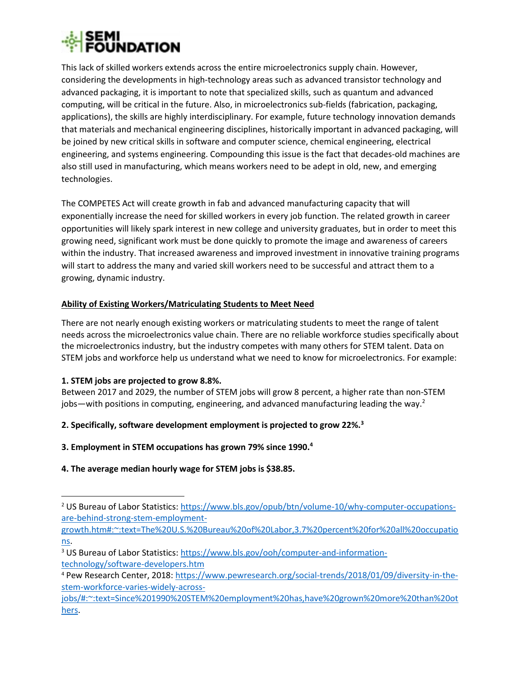

This lack of skilled workers extends across the entire microelectronics supply chain. However, considering the developments in high-technology areas such as advanced transistor technology and advanced packaging, it is important to note that specialized skills, such as quantum and advanced computing, will be critical in the future. Also, in microelectronics sub-fields (fabrication, packaging, applications), the skills are highly interdisciplinary. For example, future technology innovation demands that materials and mechanical engineering disciplines, historically important in advanced packaging, will be joined by new critical skills in software and computer science, chemical engineering, electrical engineering, and systems engineering. Compounding this issue is the fact that decades-old machines are also still used in manufacturing, which means workers need to be adept in old, new, and emerging technologies.

The COMPETES Act will create growth in fab and advanced manufacturing capacity that will exponentially increase the need for skilled workers in every job function. The related growth in career opportunities will likely spark interest in new college and university graduates, but in order to meet this growing need, significant work must be done quickly to promote the image and awareness of careers within the industry. That increased awareness and improved investment in innovative training programs will start to address the many and varied skill workers need to be successful and attract them to a growing, dynamic industry.

## **Ability of Existing Workers/Matriculating Students to Meet Need**

There are not nearly enough existing workers or matriculating students to meet the range of talent needs across the microelectronics value chain. There are no reliable workforce studies specifically about the microelectronics industry, but the industry competes with many others for STEM talent. Data on STEM jobs and workforce help us understand what we need to know for microelectronics. For example:

#### **1. STEM jobs are projected to grow 8.8%.**

Between 2017 and 2029, the number of STEM jobs will grow 8 percent, a higher rate than non-STEM jobs—with positions in computing, engineering, and advanced manufacturing leading the way.<sup>2</sup>

# **2. Specifically, software development employment is projected to grow 22%.<sup>3</sup>**

**3. Employment in STEM occupations has grown 79% since 1990.<sup>4</sup>**

# **4. The average median hourly wage for STEM jobs is \$38.85.**

[growth.htm#:~:text=The%20U.S.%20Bureau%20of%20Labor,3.7%20percent%20for%20all%20occupatio](https://www.bls.gov/opub/btn/volume-10/why-computer-occupations-are-behind-strong-stem-employment-growth.htm#:~:text=The%20U.S.%20Bureau%20of%20Labor,3.7%20percent%20for%20all%20occupations) [ns.](https://www.bls.gov/opub/btn/volume-10/why-computer-occupations-are-behind-strong-stem-employment-growth.htm#:~:text=The%20U.S.%20Bureau%20of%20Labor,3.7%20percent%20for%20all%20occupations)

<sup>&</sup>lt;sup>2</sup> [US Bureau of Labor Statistics:](https://www.bls.gov/opub/btn/volume-10/why-computer-occupations-are-behind-strong-stem-employment-growth.htm#:~:text=The%20U.S.%20Bureau%20of%20Labor,3.7%20percent%20for%20all%20occupations.) [https://www.bls.gov/opub/btn/volume-10/why-computer-occupations](https://www.bls.gov/opub/btn/volume-10/why-computer-occupations-are-behind-strong-stem-employment-growth.htm#:~:text=The%20U.S.%20Bureau%20of%20Labor,3.7%20percent%20for%20all%20occupations)[are-behind-strong-stem-employment-](https://www.bls.gov/opub/btn/volume-10/why-computer-occupations-are-behind-strong-stem-employment-growth.htm#:~:text=The%20U.S.%20Bureau%20of%20Labor,3.7%20percent%20for%20all%20occupations)

<sup>3</sup> [US Bureau of Labor Statistics:](https://www.bls.gov/opub/btn/volume-10/why-computer-occupations-are-behind-strong-stem-employment-growth.htm#:~:text=The%20U.S.%20Bureau%20of%20Labor,3.7%20percent%20for%20all%20occupations.) [https://www.bls.gov/ooh/computer-and-information](https://www.bls.gov/ooh/computer-and-information-technology/software-developers.htm)[technology/software-developers.htm](https://www.bls.gov/ooh/computer-and-information-technology/software-developers.htm) 

<sup>4</sup> [Pew Research Center,](https://www.pewresearch.org/social-trends/2018/01/09/diversity-in-the-stem-workforce-varies-widely-across-jobs/#:~:text=Since%201990%20STEM%20employment%20has,have%20grown%20more%20than%20others.) 2018: [https://www.pewresearch.org/social-trends/2018/01/09/diversity-in-the](https://www.pewresearch.org/social-trends/2018/01/09/diversity-in-the-stem-workforce-varies-widely-across-jobs/#:~:text=Since%201990%20STEM%20employment%20has,have%20grown%20more%20than%20others)[stem-workforce-varies-widely-across-](https://www.pewresearch.org/social-trends/2018/01/09/diversity-in-the-stem-workforce-varies-widely-across-jobs/#:~:text=Since%201990%20STEM%20employment%20has,have%20grown%20more%20than%20others)

[jobs/#:~:text=Since%201990%20STEM%20employment%20has,have%20grown%20more%20than%20ot](https://www.pewresearch.org/social-trends/2018/01/09/diversity-in-the-stem-workforce-varies-widely-across-jobs/#:~:text=Since%201990%20STEM%20employment%20has,have%20grown%20more%20than%20others) [hers.](https://www.pewresearch.org/social-trends/2018/01/09/diversity-in-the-stem-workforce-varies-widely-across-jobs/#:~:text=Since%201990%20STEM%20employment%20has,have%20grown%20more%20than%20others)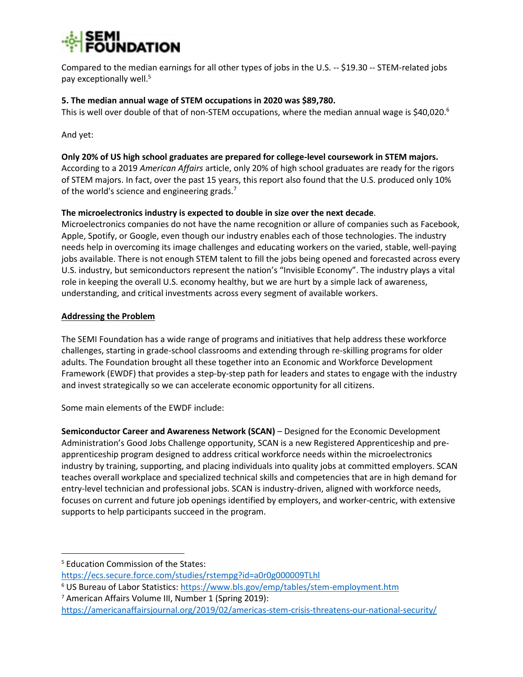

Compared to the median earnings for all other types of jobs in the U.S. -- \$19.30 -- STEM-related jobs pay exceptionally well.<sup>5</sup>

#### **5. The median annual wage of STEM occupations in 2020 was \$89,780.**

This is well over double of that of non-STEM occupations, where the median annual wage is \$40,020.<sup>6</sup>

And yet:

#### **Only 20% of US high school graduates are prepared for college-level coursework in STEM majors.**

According to a 2019 *American Affairs* article, only 20% of high school graduates are ready for the rigors of STEM majors. In fact, over the past 15 years, this report also found that the U.S. produced only 10% of the world's science and engineering grads. $<sup>7</sup>$ </sup>

## **The microelectronics industry is expected to double in size over the next decade**.

Microelectronics companies do not have the name recognition or allure of companies such as Facebook, Apple, Spotify, or Google, even though our industry enables each of those technologies. The industry needs help in overcoming its image challenges and educating workers on the varied, stable, well-paying jobs available. There is not enough STEM talent to fill the jobs being opened and forecasted across every U.S. industry, but semiconductors represent the nation's "Invisible Economy". The industry plays a vital role in keeping the overall U.S. economy healthy, but we are hurt by a simple lack of awareness, understanding, and critical investments across every segment of available workers.

## **Addressing the Problem**

The SEMI Foundation has a wide range of programs and initiatives that help address these workforce challenges, starting in grade-school classrooms and extending through re-skilling programs for older adults. The Foundation brought all these together into an Economic and Workforce Development Framework (EWDF) that provides a step-by-step path for leaders and states to engage with the industry and invest strategically so we can accelerate economic opportunity for all citizens.

Some main elements of the EWDF include:

**Semiconductor Career and Awareness Network (SCAN)** – Designed for the Economic Development Administration's Good Jobs Challenge opportunity, SCAN is a new Registered Apprenticeship and preapprenticeship program designed to address critical workforce needs within the microelectronics industry by training, supporting, and placing individuals into quality jobs at committed employers. SCAN teaches overall workplace and specialized technical skills and competencies that are in high demand for entry-level technician and professional jobs. SCAN is industry-driven, aligned with workforce needs, focuses on current and future job openings identified by employers, and worker-centric, with extensive supports to help participants succeed in the program.

<sup>6</sup> US Bureau of Labor Statistics:<https://www.bls.gov/emp/tables/stem-employment.htm>

<sup>5</sup> [Education Commission of the States:](http://vitalsigns.ecs.org/state/united-states/demand)

<https://ecs.secure.force.com/studies/rstempg?id=a0r0g000009TLhl>

<sup>7</sup> American Affairs Volume III, Number 1 (Spring 2019):

<https://americanaffairsjournal.org/2019/02/americas-stem-crisis-threatens-our-national-security/>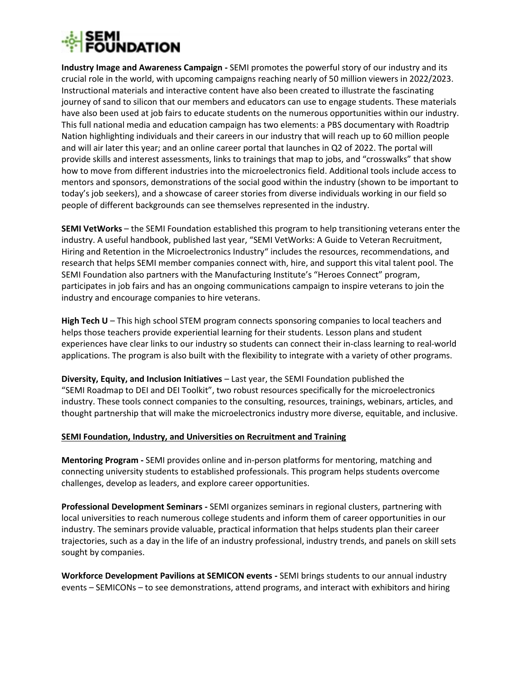

**Industry Image and Awareness Campaign -** SEMI promotes the powerful story of our industry and its crucial role in the world, with upcoming campaigns reaching nearly of 50 million viewers in 2022/2023. Instructional materials and interactive content have also been created to illustrate the fascinating journey of sand to silicon that our members and educators can use to engage students. These materials have also been used at job fairs to educate students on the numerous opportunities within our industry. This full national media and education campaign has two elements: a PBS documentary with Roadtrip Nation highlighting individuals and their careers in our industry that will reach up to 60 million people and will air later this year; and an online career portal that launches in Q2 of 2022. The portal will provide skills and interest assessments, links to trainings that map to jobs, and "crosswalks" that show how to move from different industries into the microelectronics field. Additional tools include access to mentors and sponsors, demonstrations of the social good within the industry (shown to be important to today's job seekers), and a showcase of career stories from diverse individuals working in our field so people of different backgrounds can see themselves represented in the industry.

**SEMI VetWorks** – the SEMI Foundation established this program to help transitioning veterans enter the industry. A useful handbook, published last year, "[SEMI VetWorks: A Guide to Veteran Recruitment,](https://discover.semi.org/vetworks.html)  [Hiring and Retention in the Microelectronics Industry](https://discover.semi.org/vetworks.html)" includes the resources, recommendations, and research that helps SEMI member companies connect with, hire, and support this vital talent pool. The SEMI Foundation also partners with the Manufacturing Institute's "Heroes Connect" program, participates in job fairs and has an ongoing communications campaign to inspire veterans to join the industry and encourage companies to hire veterans.

High Tech U – This high school STEM program connects sponsoring companies to local teachers and helps those teachers provide experiential learning for their students. Lesson plans and student experiences have clear links to our industry so students can connect their in-class learning to real-world applications. The program is also built with the flexibility to integrate with a variety of other programs.

**Diversity, Equity, and Inclusion Initiatives** – Last year, the SEMI Foundation published the "SEMI Roadmap to DEI and DEI Toolkit", two robust resources specifically for the microelectronics industry. These tools connect companies to the consulting, resources, trainings, webinars, articles, and thought partnership that will make the microelectronics industry more diverse, equitable, and inclusive.

#### **SEMI Foundation, Industry, and Universities on Recruitment and Training**

**Mentoring Program -** SEMI provides online and in-person platforms for mentoring, matching and connecting university students to established professionals. This program helps students overcome challenges, develop as leaders, and explore career opportunities.

**Professional Development Seminars -** SEMI organizes seminars in regional clusters, partnering with local universities to reach numerous college students and inform them of career opportunities in our industry. The seminars provide valuable, practical information that helps students plan their career trajectories, such as a day in the life of an industry professional, industry trends, and panels on skill sets sought by companies.

**Workforce Development Pavilions at SEMICON events -** SEMI brings students to our annual industry events – SEMICONs – to see demonstrations, attend programs, and interact with exhibitors and hiring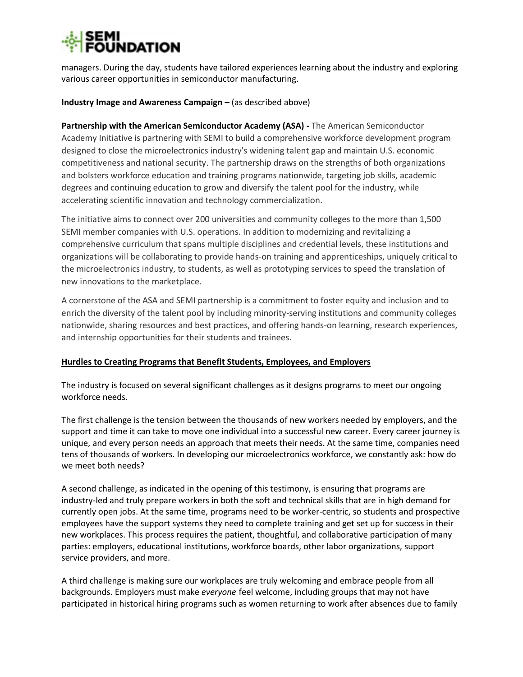managers. During the day, students have tailored experiences learning about the industry and exploring various career opportunities in semiconductor manufacturing.

#### **Industry Image and Awareness Campaign – (as described above)**

**Partnership with the American Semiconductor Academy (ASA) -** The American Semiconductor Academy Initiative is partnering with SEMI to build a comprehensive workforce development program designed to close the microelectronics industry's widening talent gap and maintain U.S. economic competitiveness and national security. The partnership draws on the strengths of both organizations and bolsters workforce education and training programs nationwide, targeting job skills, academic degrees and continuing education to grow and diversify the talent pool for the industry, while accelerating scientific innovation and technology commercialization.

The initiative aims to connect over 200 universities and community colleges to the more than 1,500 SEMI member companies with U.S. operations. In addition to modernizing and revitalizing a comprehensive curriculum that spans multiple disciplines and credential levels, these institutions and organizations will be collaborating to provide hands-on training and apprenticeships, uniquely critical to the microelectronics industry, to students, as well as prototyping services to speed the translation of new innovations to the marketplace.

A cornerstone of the ASA and SEMI partnership is a commitment to foster equity and inclusion and to enrich the diversity of the talent pool by including minority-serving institutions and community colleges nationwide, sharing resources and best practices, and offering hands-on learning, research experiences, and internship opportunities for their students and trainees.

# **Hurdles to Creating Programs that Benefit Students, Employees, and Employers**

The industry is focused on several significant challenges as it designs programs to meet our ongoing workforce needs.

The first challenge is the tension between the thousands of new workers needed by employers, and the support and time it can take to move one individual into a successful new career. Every career journey is unique, and every person needs an approach that meets their needs. At the same time, companies need tens of thousands of workers. In developing our microelectronics workforce, we constantly ask: how do we meet both needs?

A second challenge, as indicated in the opening of this testimony, is ensuring that programs are industry-led and truly prepare workers in both the soft and technical skills that are in high demand for currently open jobs. At the same time, programs need to be worker-centric, so students and prospective employees have the support systems they need to complete training and get set up for success in their new workplaces. This process requires the patient, thoughtful, and collaborative participation of many parties: employers, educational institutions, workforce boards, other labor organizations, support service providers, and more.

A third challenge is making sure our workplaces are truly welcoming and embrace people from all backgrounds. Employers must make *everyone* feel welcome, including groups that may not have participated in historical hiring programs such as women returning to work after absences due to family